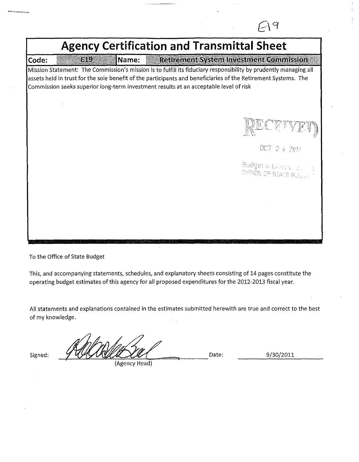| <b>Agency Certification and Transmittal Sheet</b> |     |       |                                                                                                                                                                                                                                                                                                                             |  |  |  |  |
|---------------------------------------------------|-----|-------|-----------------------------------------------------------------------------------------------------------------------------------------------------------------------------------------------------------------------------------------------------------------------------------------------------------------------------|--|--|--|--|
| Code:                                             | EIL | Name: | <b>Retirement System Investment Commission</b>                                                                                                                                                                                                                                                                              |  |  |  |  |
|                                                   |     |       | Mission Statement: The Commission's mission is to fulfill its fiduciary responsibility by prudently managing all<br>assets held in trust for the sole benefit of the participants and beneficiaries of the Retirement Systems. The<br>Commission seeks superior long-term investment results at an acceptable level of risk |  |  |  |  |
|                                                   |     |       |                                                                                                                                                                                                                                                                                                                             |  |  |  |  |
|                                                   |     |       | OCT.<br>04.2011                                                                                                                                                                                                                                                                                                             |  |  |  |  |
|                                                   |     |       | Budget & Grand Let.<br>DEROE OF STATE BUSING                                                                                                                                                                                                                                                                                |  |  |  |  |
|                                                   |     |       |                                                                                                                                                                                                                                                                                                                             |  |  |  |  |
|                                                   |     |       |                                                                                                                                                                                                                                                                                                                             |  |  |  |  |
|                                                   |     |       |                                                                                                                                                                                                                                                                                                                             |  |  |  |  |

To the Office of State Budget

This, and accompanying statements, schedules, and explanatory sheets consisting of 14 pages constitute the operating budget estimates of this agency for all proposed expenditures for the 2012-2013 fiscal year.

All statements and explanations contained in the estimates submitted herewith are true and correct to the best of my knowledge.

Signed: -1-~\_\_:.!,<:..J..i!:.~~=:\,C:~-=---Date:

(Agency Head)

9/30/2011

9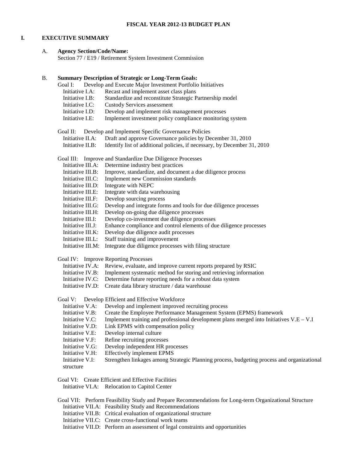# **I. EXECUTIVE SUMMARY**

# A. **Agency Section/Code/Name:**

Section 77 / E19 / Retirement System Investment Commission

| B. | Goal I:                      | <b>Summary Description of Strategic or Long-Term Goals:</b><br>Develop and Execute Major Investment Portfolio Initiatives              |
|----|------------------------------|----------------------------------------------------------------------------------------------------------------------------------------|
|    | Initiative I.A:              | Recast and implement asset class plans                                                                                                 |
|    | Initiative I.B:              | Standardize and reconstitute Strategic Partnership model                                                                               |
|    | Initiative I.C:              | <b>Custody Services assessment</b>                                                                                                     |
|    | Initiative I.D:              | Develop and implement risk management processes                                                                                        |
|    | Initiative I.E:              | Implement investment policy compliance monitoring system                                                                               |
|    |                              |                                                                                                                                        |
|    | Goal II:<br>Initiative II.A: | Develop and Implement Specific Governance Policies                                                                                     |
|    | Initiative II.B:             | Draft and approve Governance policies by December 31, 2010<br>Identify list of additional policies, if necessary, by December 31, 2010 |
|    |                              |                                                                                                                                        |
|    |                              | Goal III: Improve and Standardize Due Diligence Processes                                                                              |
|    | Initiative III.A:            | Determine industry best practices                                                                                                      |
|    | Initiative III.B:            | Improve, standardize, and document a due diligence process                                                                             |
|    | Initiative III.C:            | Implement new Commission standards                                                                                                     |
|    | Initiative III.D:            | Integrate with NEPC                                                                                                                    |
|    | Initiative III.E:            | Integrate with data warehousing                                                                                                        |
|    | Initiative III.F:            | Develop sourcing process                                                                                                               |
|    | Initiative III.G:            | Develop and integrate forms and tools for due diligence processes                                                                      |
|    | Initiative III.H:            | Develop on-going due diligence processes                                                                                               |
|    | Initiative III.I:            | Develop co-investment due diligence processes                                                                                          |
|    | Initiative III.J:            | Enhance compliance and control elements of due diligence processes                                                                     |
|    | Initiative III.K:            | Develop due diligence audit processes                                                                                                  |
|    | Initiative III.L:            | Staff training and improvement                                                                                                         |
|    | Initiative III.M:            | Integrate due diligence processes with filing structure                                                                                |
|    |                              | Goal IV: Improve Reporting Processes                                                                                                   |
|    |                              | Initiative IV.A: Review, evaluate, and improve current reports prepared by RSIC                                                        |
|    | Initiative IV.B:             | Implement systematic method for storing and retrieving information                                                                     |
|    | Initiative IV.C:             | Determine future reporting needs for a robust data system                                                                              |
|    | Initiative IV.D:             | Create data library structure / data warehouse                                                                                         |
|    |                              |                                                                                                                                        |
|    | Goal V:                      | Develop Efficient and Effective Workforce                                                                                              |
|    | Initiative V.A:              | Develop and implement improved recruiting process                                                                                      |
|    | Initiative V.B:              | Create the Employee Performance Management System (EPMS) framework                                                                     |
|    | Initiative V.C:              | Implement training and professional development plans merged into Initiatives $V.E - V.I$                                              |
|    | Initiative V.D:              | Link EPMS with compensation policy                                                                                                     |
|    | Initiative V.E:              | Develop internal culture                                                                                                               |
|    | Initiative V.F:              | Refine recruiting processes                                                                                                            |
|    | Initiative V.G:              | Develop independent HR processes                                                                                                       |
|    | Initiative V.H:              | <b>Effectively implement EPMS</b>                                                                                                      |
|    | Initiative V.I:              | Strengthen linkages among Strategic Planning process, budgeting process and organizational                                             |
|    | structure                    |                                                                                                                                        |
|    |                              |                                                                                                                                        |
|    |                              | Goal VI: Create Efficient and Effective Facilities                                                                                     |
|    |                              | Initiative VI.A: Relocation to Capitol Center                                                                                          |
|    |                              | Goal VII: Perform Feasibility Study and Prepare Recommendations for Long-term Organizational Structure                                 |
|    |                              | Initiative VII.A: Feasibility Study and Recommendations                                                                                |
|    |                              | Initiative VII.B: Critical evaluation of organizational structure                                                                      |
|    |                              | Initiative VII.C: Create cross-functional work teams                                                                                   |
|    |                              | Initiative VII.D: Perform an assessment of legal constraints and opportunities                                                         |
|    |                              |                                                                                                                                        |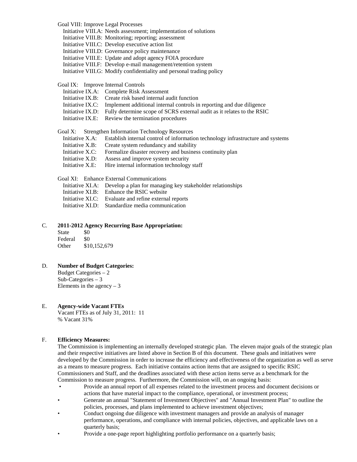| Goal VIII: Improve Legal Processes |                                                                                        |
|------------------------------------|----------------------------------------------------------------------------------------|
|                                    | Initiative VIII.A: Needs assessment; implementation of solutions                       |
|                                    | Initiative VIII.B: Monitoring; reporting; assessment                                   |
|                                    | Initiative VIII.C: Develop executive action list                                       |
|                                    | Initiative VIII.D: Governance policy maintenance                                       |
|                                    | Initiative VIII.E: Update and adopt agency FOIA procedure                              |
|                                    | Initiative VIII.F: Develop e-mail management/retention system                          |
|                                    | Initiative VIII.G: Modify confidentiality and personal trading policy                  |
| Goal IX: Improve Internal Controls |                                                                                        |
|                                    | Initiative IX.A: Complete Risk Assessment                                              |
|                                    | Initiative IX.B: Create risk based internal audit function                             |
|                                    | Initiative IX.C: Implement additional internal controls in reporting and due diligence |
| Initiative IX.D:                   | Fully determine scope of SCRS external audit as it relates to the RSIC                 |
| Initiative IX.E:                   | Review the termination procedures                                                      |
|                                    | Goal X: Strengthen Information Technology Resources                                    |
| Initiative X.A:                    | Establish internal control of information technology infrastructure and systems        |
| Initiative X.B:                    | Create system redundancy and stability                                                 |
| Initiative X.C:                    | Formalize disaster recovery and business continuity plan                               |
| Initiative X.D:                    | Assess and improve system security                                                     |
| Initiative X.E:                    | Hire internal information technology staff                                             |
|                                    | Goal XI: Enhance External Communications                                               |
|                                    | Initiative XI.A: Develop a plan for managing key stakeholder relationships             |
|                                    | Initiative XI.B: Enhance the RSIC website                                              |
|                                    | Initiative XI.C: Evaluate and refine external reports                                  |
| Initiative XI.D:                   | Standardize media communication                                                        |

### C. **2011-2012 Agency Recurring Base Appropriation:**

| <b>State</b> | \$0          |
|--------------|--------------|
| Federal      | \$0          |
| Other        | \$10,152,679 |

D. **Number of Budget Categories:** Budget Categories – 2 Sub-Categories – 3

Elements in the agency  $-3$ 

# E. **Agency-wide Vacant FTEs**

Vacant FTEs as of July 31, 2011: 11 % Vacant 31%

# F. **Efficiency Measures:**

The Commission is implementing an internally developed strategic plan. The eleven major goals of the strategic plan and their respective initiatives are listed above in Section B of this document. These goals and initiatives were developed by the Commission in order to increase the efficiency and effectiveness of the organization as well as serve as a means to measure progress. Each initiative contains action items that are assigned to specific RSIC Commissioners and Staff, and the deadlines associated with these action items serve as a benchmark for the Commission to measure progress. Furthermore, the Commission will, on an ongoing basis:

- Provide an annual report of all expenses related to the investment process and document decisions or actions that have material impact to the compliance, operational, or investment process;
- Generate an annual "Statement of Investment Objectives" and "Annual Investment Plan" to outline the policies, processes, and plans implemented to achieve investment objectives;
- Conduct ongoing due diligence with investment managers and provide an analysis of manager performance, operations, and compliance with internal policies, objectives, and applicable laws on a quarterly basis;
- Provide a one-page report highlighting portfolio performance on a quarterly basis;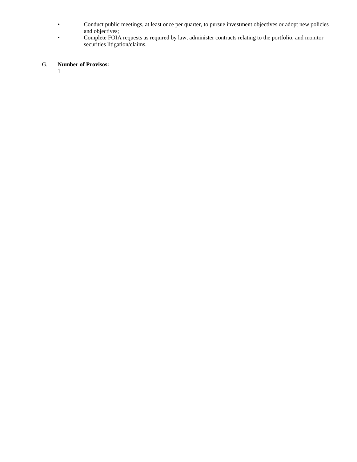- Conduct public meetings, at least once per quarter, to pursue investment objectives or adopt new policies and objectives;
- Complete FOIA requests as required by law, administer contracts relating to the portfolio, and monitor securities litigation/claims.

# G. **Number of Provisos:**

1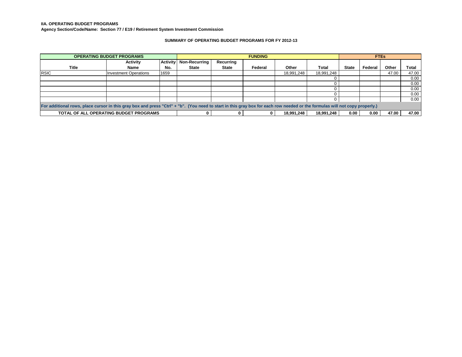**IIA. OPERATING BUDGET PROGRAMS**

**Agency Section/Code/Name: Section 77 / E19 / Retirement System Investment Commission**

### **SUMMARY OF OPERATING BUDGET PROGRAMS FOR FY 2012-13**

| <b>OPERATING BUDGET PROGRAMS</b>                                                                                                                                            |                                        |      | <b>FUNDING</b>                  |              |         |            | <b>FTEs</b> |              |         |       |       |
|-----------------------------------------------------------------------------------------------------------------------------------------------------------------------------|----------------------------------------|------|---------------------------------|--------------|---------|------------|-------------|--------------|---------|-------|-------|
|                                                                                                                                                                             | Activity                               |      | <b>Activity Non-Recurring I</b> | Recurring    |         |            |             |              |         |       |       |
| <b>Title</b>                                                                                                                                                                | <b>Name</b>                            | No.  | <b>State</b>                    | <b>State</b> | Federal | Other      | Total       | <b>State</b> | Federal | Other | Total |
| <b>RSIC</b>                                                                                                                                                                 | <b>Investment Operations</b>           | 1659 |                                 |              |         | 18.991.248 | 18,991,248  |              |         | 47.00 | 47.00 |
|                                                                                                                                                                             |                                        |      |                                 |              |         |            |             |              |         |       | 0.00  |
|                                                                                                                                                                             |                                        |      |                                 |              |         |            |             |              |         |       | 0.00  |
|                                                                                                                                                                             |                                        |      |                                 |              |         |            |             |              |         |       | 0.00  |
|                                                                                                                                                                             |                                        |      |                                 |              |         |            |             |              |         |       | 0.00  |
|                                                                                                                                                                             |                                        |      |                                 |              |         |            |             |              |         |       | 0.00  |
| For additional rows, place cursor in this gray box and press "Ctrl" + "b". (You need to start in this gray box for each row needed or the formulas will not copy properly.) |                                        |      |                                 |              |         |            |             |              |         |       |       |
|                                                                                                                                                                             | TOTAL OF ALL OPERATING BUDGET PROGRAMS |      |                                 |              |         | 18.991.248 | 18.991.248  | 0.00         | 0.00    | 47.00 | 47.00 |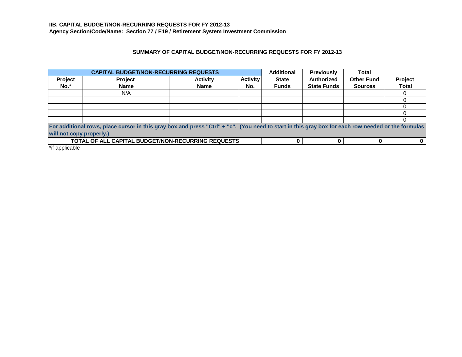# **SUMMARY OF CAPITAL BUDGET/NON-RECURRING REQUESTS FOR FY 2012-13**

| <b>CAPITAL BUDGET/NON-RECURRING REQUESTS</b> |                                                                                                                                                    |                 |                 |              | <b>Previously</b>  | Total             |              |  |  |
|----------------------------------------------|----------------------------------------------------------------------------------------------------------------------------------------------------|-----------------|-----------------|--------------|--------------------|-------------------|--------------|--|--|
| Project                                      | <b>Project</b>                                                                                                                                     | <b>Activity</b> | <b>Activity</b> | <b>State</b> | <b>Authorized</b>  | <b>Other Fund</b> | Project      |  |  |
| $No.*$                                       | <b>Name</b>                                                                                                                                        | <b>Name</b>     | No.             | <b>Funds</b> | <b>State Funds</b> | <b>Sources</b>    | <b>Total</b> |  |  |
|                                              | N/A                                                                                                                                                |                 |                 |              |                    |                   |              |  |  |
|                                              |                                                                                                                                                    |                 |                 |              |                    |                   |              |  |  |
|                                              |                                                                                                                                                    |                 |                 |              |                    |                   |              |  |  |
|                                              |                                                                                                                                                    |                 |                 |              |                    |                   |              |  |  |
|                                              |                                                                                                                                                    |                 |                 |              |                    |                   |              |  |  |
|                                              | For additional rows, place cursor in this gray box and press "Ctrl" + "c". (You need to start in this gray box for each row needed or the formulas |                 |                 |              |                    |                   |              |  |  |
|                                              | will not copy properly.)                                                                                                                           |                 |                 |              |                    |                   |              |  |  |
|                                              | <b>TOTAL OF ALL CAPITAL BUDGET/NON-RECURRING REQUESTS</b>                                                                                          |                 |                 |              |                    |                   |              |  |  |

\*if applicable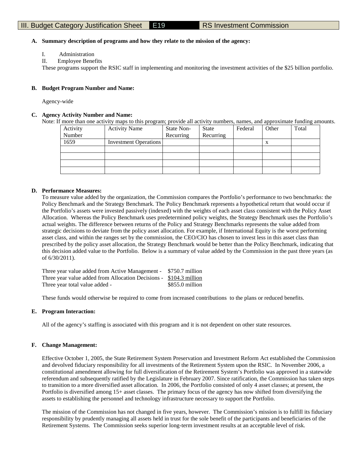### **A. Summary description of programs and how they relate to the mission of the agency:**

- I. Administration
- II. Employee Benefits

These programs support the RSIC staff in implementing and monitoring the investment activities of the \$25 billion portfolio.

### **B. Budget Program Number and Name:**

Agency-wide

### **C. Agency Activity Number and Name:**

Note: If more than one activity maps to this program; provide all activity numbers, names, and approximate funding amounts.

| Activity | <b>Activity Name</b>         | State Non- | <b>State</b> | Federal | Other | Total |
|----------|------------------------------|------------|--------------|---------|-------|-------|
| Number   |                              | Recurring  | Recurring    |         |       |       |
| 1659     | <b>Investment Operations</b> |            |              |         | X     |       |
|          |                              |            |              |         |       |       |
|          |                              |            |              |         |       |       |
|          |                              |            |              |         |       |       |
|          |                              |            |              |         |       |       |

### **D. Performance Measures:**

To measure value added by the organization, the Commission compares the Portfolio's performance to two benchmarks: the Policy Benchmark and the Strategy Benchmark. The Policy Benchmark represents a hypothetical return that would occur if the Portfolio's assets were invested passively (indexed) with the weights of each asset class consistent with the Policy Asset Allocation. Whereas the Policy Benchmark uses predetermined policy weights, the Strategy Benchmark uses the Portfolio's actual weights. The difference between returns of the Policy and Strategy Benchmarks represents the value added from strategic decisions to deviate from the policy asset allocation. For example, if International Equity is the worst performing asset class, and within the ranges set by the commission, the CEO/CIO has chosen to invest less in this asset class than prescribed by the policy asset allocation, the Strategy Benchmark would be better than the Policy Benchmark, indicating that this decision added value to the Portfolio. Below is a summary of value added by the Commission in the past three years (as of 6/30/2011).

| Three year value added from Active Management - \$750.7 million    |                  |
|--------------------------------------------------------------------|------------------|
| Three year value added from Allocation Decisions - \$104.3 million |                  |
| Three year total value added -                                     | $$855.0$ million |

These funds would otherwise be required to come from increased contributions to the plans or reduced benefits.

### **E. Program Interaction:**

All of the agency's staffing is associated with this program and it is not dependent on other state resources.

### **F. Change Management:**

Effective October 1, 2005, the State Retirement System Preservation and Investment Reform Act established the Commission and devolved fiduciary responsibility for all investments of the Retirement System upon the RSIC. In November 2006, a constitutional amendment allowing for full diversification of the Retirement System's Portfolio was approved in a statewide referendum and subsequently ratified by the Legislature in February 2007. Since ratification, the Commission has taken steps to transition to a more diversified asset allocation. In 2006, the Portfolio consisted of only 4 asset classes; at present, the Portfolio is diversified among 15+ asset classes. The primary focus of the agency has now shifted from diversifying the assets to establishing the personnel and technology infrastructure necessary to support the Portfolio.

The mission of the Commission has not changed in five years, however. The Commission's mission is to fulfill its fiduciary responsibility by prudently managing all assets held in trust for the sole benefit of the participants and beneficiaries of the Retirement Systems. The Commission seeks superior long-term investment results at an acceptable level of risk.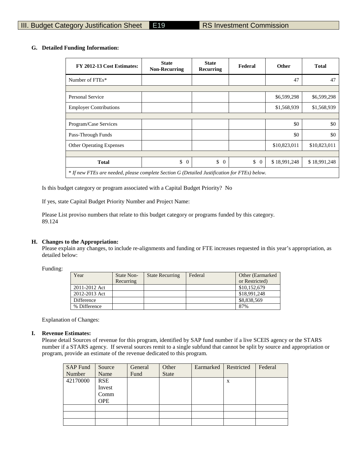### **G. Detailed Funding Information:**

| FY 2012-13 Cost Estimates:                                                                   | <b>State</b><br><b>Non-Recurring</b> | <b>State</b><br><b>Recurring</b> | Federal        | Other        | <b>Total</b> |
|----------------------------------------------------------------------------------------------|--------------------------------------|----------------------------------|----------------|--------------|--------------|
| Number of FTEs*                                                                              |                                      |                                  |                | 47           | 47           |
|                                                                                              |                                      |                                  |                |              |              |
| <b>Personal Service</b>                                                                      |                                      |                                  |                | \$6,599,298  | \$6,599,298  |
| <b>Employer Contributions</b>                                                                |                                      |                                  |                | \$1,568,939  | \$1,568,939  |
|                                                                                              |                                      |                                  |                |              |              |
| Program/Case Services                                                                        |                                      |                                  |                | \$0          | \$0          |
| Pass-Through Funds                                                                           |                                      |                                  |                | \$0          | \$0          |
| <b>Other Operating Expenses</b>                                                              |                                      |                                  |                | \$10,823,011 | \$10,823,011 |
|                                                                                              |                                      |                                  |                |              |              |
| <b>Total</b>                                                                                 | \$<br>$\overline{0}$                 | $\mathbb{S}$<br>$\overline{0}$   | \$<br>$\theta$ | \$18,991,248 | \$18,991,248 |
| * If new FTEs are needed, please complete Section G (Detailed Justification for FTEs) below. |                                      |                                  |                |              |              |

Is this budget category or program associated with a Capital Budget Priority? No

If yes, state Capital Budget Priority Number and Project Name:

Please List proviso numbers that relate to this budget category or programs funded by this category. 89.124

### **H. Changes to the Appropriation:**

Please explain any changes, to include re-alignments and funding or FTE increases requested in this year's appropriation, as detailed below:

Funding:

| Year          | State Non-<br>Recurring | <b>State Recurring</b> | Federal | Other (Earmarked)<br>or Restricted) |
|---------------|-------------------------|------------------------|---------|-------------------------------------|
| 2011-2012 Act |                         |                        |         | \$10,152,679                        |
| 2012-2013 Act |                         |                        |         | \$18,991,248                        |
| Difference    |                         |                        |         | \$8,838,569                         |
| % Difference  |                         |                        |         | 87%                                 |

Explanation of Changes:

### **I. Revenue Estimates:**

Please detail Sources of revenue for this program, identified by SAP fund number if a live SCEIS agency or the STARS number if a STARS agency. If several sources remit to a single subfund that cannot be split by source and appropriation or program, provide an estimate of the revenue dedicated to this program.

| <b>SAP Fund</b> | Source     | General | Other        | Earmarked | Restricted | Federal |
|-----------------|------------|---------|--------------|-----------|------------|---------|
| Number          | Name       | Fund    | <b>State</b> |           |            |         |
| 42170000        | <b>RSE</b> |         |              |           | X          |         |
|                 | Invest     |         |              |           |            |         |
|                 | Comm       |         |              |           |            |         |
|                 | <b>OPE</b> |         |              |           |            |         |
|                 |            |         |              |           |            |         |
|                 |            |         |              |           |            |         |
|                 |            |         |              |           |            |         |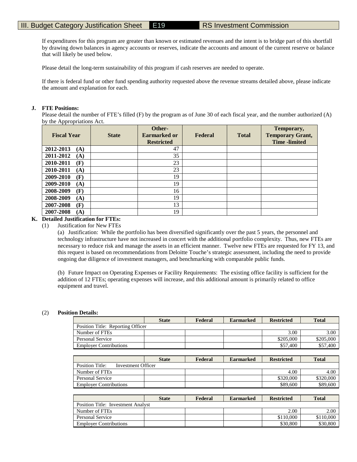If expenditures for this program are greater than known or estimated revenues and the intent is to bridge part of this shortfall by drawing down balances in agency accounts or reserves, indicate the accounts and amount of the current reserve or balance that will likely be used below.

Please detail the long-term sustainability of this program if cash reserves are needed to operate.

If there is federal fund or other fund spending authority requested above the revenue streams detailed above, please indicate the amount and explanation for each.

### **J. FTE Positions:**

Please detail the number of FTE's filled (F) by the program as of June 30 of each fiscal year, and the number authorized (A) by the Appropriations Act.

| <b>Fiscal Year</b> | <b>State</b> | Other-<br><b>Earmarked or</b><br><b>Restricted</b> | Federal | <b>Total</b> | Temporary,<br><b>Temporary Grant,</b><br><b>Time</b> -limited |
|--------------------|--------------|----------------------------------------------------|---------|--------------|---------------------------------------------------------------|
| 2012-2013<br>(A)   |              | 47                                                 |         |              |                                                               |
| 2011-2012<br>(A)   |              | 35                                                 |         |              |                                                               |
| 2010-2011<br>(F)   |              | 23                                                 |         |              |                                                               |
| 2010-2011<br>(A)   |              | 23                                                 |         |              |                                                               |
| 2009-2010<br>(F)   |              | 19                                                 |         |              |                                                               |
| 2009-2010<br>(A)   |              | 19                                                 |         |              |                                                               |
| 2008-2009<br>(F)   |              | 16                                                 |         |              |                                                               |
| 2008-2009<br>(A)   |              | 19                                                 |         |              |                                                               |
| 2007-2008<br>(F)   |              | 13                                                 |         |              |                                                               |
| 2007-2008<br>(A)   |              | 19                                                 |         |              |                                                               |

# **K. Detailed Justification for FTEs:**

(1) Justification for New FTEs

(a) Justification: While the portfolio has been diversified significantly over the past 5 years, the personnel and technology infrastructure have not increased in concert with the additional portfolio complexity. Thus, new FTEs are necessary to reduce risk and manage the assets in an efficient manner. Twelve new FTEs are requested for FY 13, and this request is based on recommendations from Deloitte Touche's strategic assessment, including the need to provide ongoing due diligence of investment managers, and benchmarking with comparable public funds.

(b) Future Impact on Operating Expenses or Facility Requirements: The existing office facility is sufficient for the addition of 12 FTEs; operating expenses will increase, and this additional amount is primarily related to office equipment and travel.

### (2) **Position Details:**

|                                              | <b>State</b> | Federal | <b>Earmarked</b> | <b>Restricted</b> | <b>Total</b> |
|----------------------------------------------|--------------|---------|------------------|-------------------|--------------|
| Position Title: Reporting Officer            |              |         |                  |                   |              |
| Number of FTEs                               |              |         |                  | 3.00              | 3.00         |
| <b>Personal Service</b>                      |              |         |                  | \$205,000         | \$205,000    |
| <b>Employer Contributions</b>                |              |         |                  | \$57,400          | \$57,400     |
|                                              |              |         |                  |                   |              |
|                                              | <b>State</b> | Federal | <b>Earmarked</b> | <b>Restricted</b> | <b>Total</b> |
| <b>Position Title:</b><br>Investment Officer |              |         |                  |                   |              |
| Number of FTEs                               |              |         |                  | 4.00              | 4.00         |
| <b>Personal Service</b>                      |              |         |                  | \$320,000         | \$320,000    |
| <b>Employer Contributions</b>                |              |         |                  | \$89,600          | \$89,600     |
|                                              |              |         |                  |                   |              |
|                                              | <b>State</b> | Federal | <b>Earmarked</b> | <b>Restricted</b> | <b>Total</b> |
| Position Title: Investment Analyst           |              |         |                  |                   |              |
| Number of FTEs                               |              |         |                  | 2.00              | 2.00         |
| <b>Personal Service</b>                      |              |         |                  | \$110,000         | \$110,000    |

Employer Contributions  $\sim$  \$30,800 \$30,800 \$30,800 \$30,800 \$30,800 \$30,800 \$30,800 \$30,800 \$30,800 \$30,800 \$30,800 \$30,800 \$30,800 \$30,800 \$30,800 \$30,800 \$30,800 \$30,800 \$30,800 \$30,800 \$10,100 \$10,100 \$10,100 \$10,100 \$1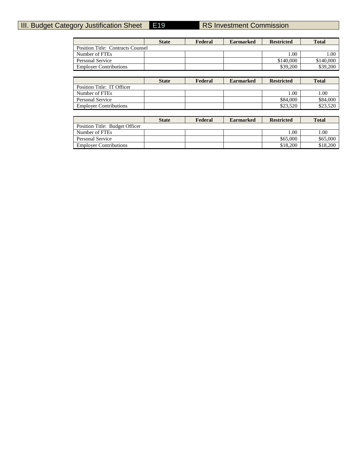# **III. Budget Category Justification Sheet E19 RS Investment Commission**

|                                          | <b>State</b> | Federal | <b>Earmarked</b> | <b>Restricted</b> | <b>Total</b> |
|------------------------------------------|--------------|---------|------------------|-------------------|--------------|
| <b>Position Title: Contracts Counsel</b> |              |         |                  |                   |              |
| Number of FTEs                           |              |         |                  | 1.00              | 1.00         |
| <b>Personal Service</b>                  |              |         |                  | \$140,000         | \$140,000    |
| <b>Employer Contributions</b>            |              |         |                  | \$39,200          | \$39,200     |
|                                          |              |         |                  |                   |              |
|                                          | <b>State</b> | Federal | <b>Earmarked</b> | <b>Restricted</b> | <b>Total</b> |
| Position Title: IT Officer               |              |         |                  |                   |              |
| Number of FTEs                           |              |         |                  | 1.00              | 1.00         |
| <b>Personal Service</b>                  |              |         |                  | \$84,000          | \$84,000     |
| <b>Employer Contributions</b>            |              |         |                  | \$23,520          | \$23,520     |
|                                          |              |         |                  |                   |              |
|                                          | <b>State</b> | Federal | <b>Earmarked</b> | <b>Restricted</b> | <b>Total</b> |
| Position Title: Budget Officer           |              |         |                  |                   |              |
| Number of FTEs                           |              |         |                  | 1.00              | 1.00         |
| <b>Personal Service</b>                  |              |         |                  | \$65,000          | \$65,000     |

Employer Contributions \$18,200 \$18,200 \$18,200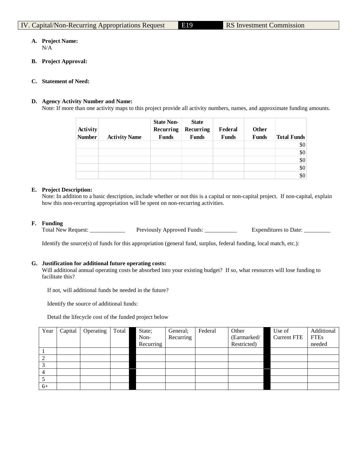### **A. Project Name:** N/A

- 
- **B. Project Approval:**

### **C. Statement of Need:**

### **D. Agency Activity Number and Name:**

Note: If more than one activity maps to this project provide all activity numbers, names, and approximate funding amounts.

| <b>Activity</b><br><b>Number</b> | <b>Activity Name</b> | <b>State Non-</b><br>Recurring<br><b>Funds</b> | <b>State</b><br>Recurring<br><b>Funds</b> | Federal<br><b>Funds</b> | <b>Other</b><br><b>Funds</b> | <b>Total Funds</b> |
|----------------------------------|----------------------|------------------------------------------------|-------------------------------------------|-------------------------|------------------------------|--------------------|
|                                  |                      |                                                |                                           |                         |                              | \$0                |
|                                  |                      |                                                |                                           |                         |                              | \$0                |
|                                  |                      |                                                |                                           |                         |                              | \$0                |
|                                  |                      |                                                |                                           |                         |                              | \$0                |
|                                  |                      |                                                |                                           |                         |                              | \$0                |

# **E. Project Description:**

Note: In addition to a basic description, include whether or not this is a capital or non-capital project. If non-capital, explain how this non-recurring appropriation will be spent on non-recurring activities.

**F. Funding**

Total New Request: \_\_\_\_\_\_\_\_\_\_\_\_\_\_\_\_\_ Previously Approved Funds: \_\_\_\_\_\_\_\_\_\_\_\_\_\_\_\_ Expenditures to Date: \_\_\_\_\_\_\_

Identify the source(s) of funds for this appropriation (general fund, surplus, federal funding, local match, etc.):

### **G. Justification for additional future operating costs:**

Will additional annual operating costs be absorbed into your existing budget? If so, what resources will lose funding to facilitate this?

If not, will additional funds be needed in the future?

Identify the source of additional funds:

Detail the lifecycle cost of the funded project below

| Year | Capital | Operating | Total | State;    | General;  | Federal | Other       | Use of             | Additional  |
|------|---------|-----------|-------|-----------|-----------|---------|-------------|--------------------|-------------|
|      |         |           |       | Non-      | Recurring |         | (Earmarked/ | <b>Current FTE</b> | <b>FTEs</b> |
|      |         |           |       | Recurring |           |         | Restricted) |                    | needed      |
|      |         |           |       |           |           |         |             |                    |             |
|      |         |           |       |           |           |         |             |                    |             |
|      |         |           |       |           |           |         |             |                    |             |
| 4    |         |           |       |           |           |         |             |                    |             |
|      |         |           |       |           |           |         |             |                    |             |
| $6+$ |         |           |       |           |           |         |             |                    |             |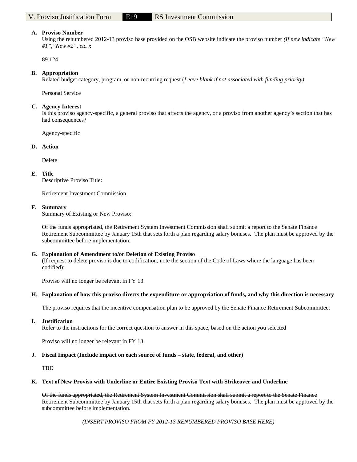### **A. Proviso Number**

Using the renumbered 2012-13 proviso base provided on the OSB website indicate the proviso number *(If new indicate "New #1","New #2", etc.)*:

89.124

### **B. Appropriation**

Related budget category, program, or non-recurring request (*Leave blank if not associated with funding priority)*:

Personal Service

### **C. Agency Interest**

Is this proviso agency-specific, a general proviso that affects the agency, or a proviso from another agency's section that has had consequences?

Agency-specific

### **D. Action**

Delete

### **E. Title**

Descriptive Proviso Title:

Retirement Investment Commission

### **F. Summary**

Summary of Existing or New Proviso:

Of the funds appropriated, the Retirement System Investment Commission shall submit a report to the Senate Finance Retirement Subcommittee by January 15th that sets forth a plan regarding salary bonuses. The plan must be approved by the subcommittee before implementation.

### **G. Explanation of Amendment to/or Deletion of Existing Proviso**

(If request to delete proviso is due to codification, note the section of the Code of Laws where the language has been codified):

Proviso will no longer be relevant in FY 13

### **H. Explanation of how this proviso directs the expenditure or appropriation of funds, and why this direction is necessary**

The proviso requires that the incentive compensation plan to be approved by the Senate Finance Retirement Subcommittee.

### **I. Justification**

Refer to the instructions for the correct question to answer in this space, based on the action you selected

Proviso will no longer be relevant in FY 13

### **J. Fiscal Impact (Include impact on each source of funds – state, federal, and other)**

TBD

### **K. Text of New Proviso with Underline or Entire Existing Proviso Text with Strikeover and Underline**

Of the funds appropriated, the Retirement System Investment Commission shall submit a report to the Senate Finance Retirement Subcommittee by January 15th that sets forth a plan regarding salary bonuses. The plan must be approved by the subcommittee before implementation.

*(INSERT PROVISO FROM FY 2012-13 RENUMBERED PROVISO BASE HERE)*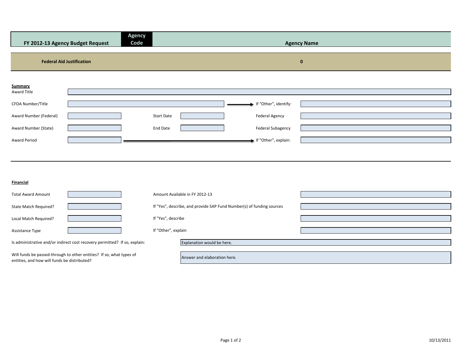| Agency<br>Code<br>FY 2012-13 Agency Budget Request                                                                   | <b>Agency Name</b>                                                                                                                  |
|----------------------------------------------------------------------------------------------------------------------|-------------------------------------------------------------------------------------------------------------------------------------|
| <b>Federal Aid Justification</b>                                                                                     | $\bf{0}$                                                                                                                            |
| Summary<br>Award Title<br>CFDA Number/Title<br>Award Number (Federal)<br>Award Number (State)<br><b>Award Period</b> | If "Other", identify:<br><b>Federal Agency</b><br><b>Start Date</b><br><b>End Date</b><br>Federal Subagency<br>If "Other", explain: |
|                                                                                                                      |                                                                                                                                     |
| <b>Financial</b>                                                                                                     |                                                                                                                                     |
| <b>Total Award Amount</b>                                                                                            | Amount Available in FY 2012-13                                                                                                      |
| State Match Required?                                                                                                | If "Yes", describe, and provide SAP Fund Number(s) of funding sources                                                               |
| Local Match Required?                                                                                                | If "Yes", describe                                                                                                                  |
| Assistance Type                                                                                                      | If "Other", explain                                                                                                                 |
| Is administrative and/or indirect cost recovery permitted? If so, explain:                                           | Explanation would be here.                                                                                                          |
| Will funds be passed-through to other entities? If so, what types of<br>entities, and how will funds be distributed? | Answer and elaboration here.                                                                                                        |